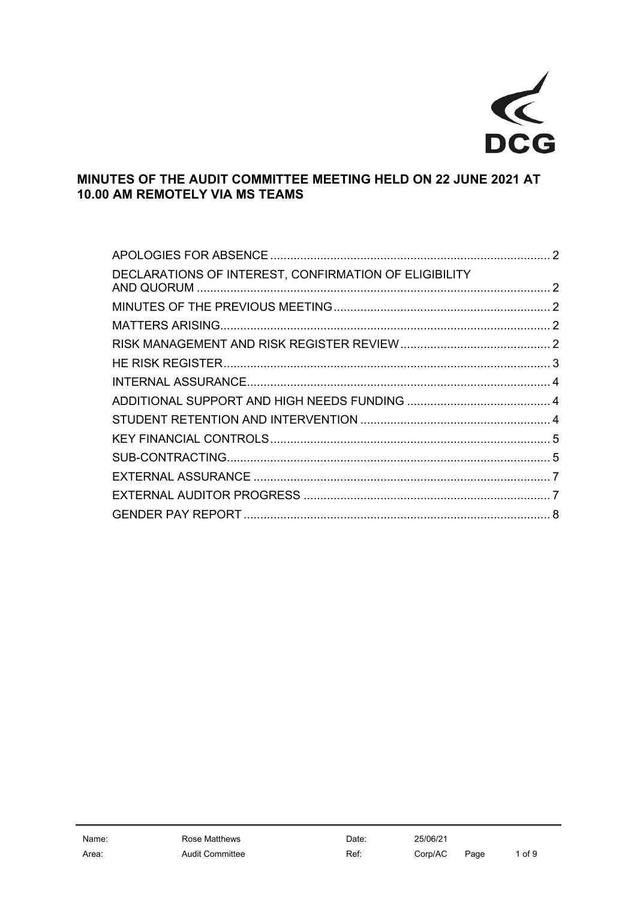

# **MINUTES OF THE AUDIT COMMITTEE MEETING HELD ON 22 JUNE 2021 AT 10.00 AM REMOTELY VIA MS TEAMS**

| DECLARATIONS OF INTEREST, CONFIRMATION OF ELIGIBILITY |  |
|-------------------------------------------------------|--|
|                                                       |  |
|                                                       |  |
|                                                       |  |
|                                                       |  |
|                                                       |  |
|                                                       |  |
|                                                       |  |
|                                                       |  |
|                                                       |  |
|                                                       |  |
|                                                       |  |
|                                                       |  |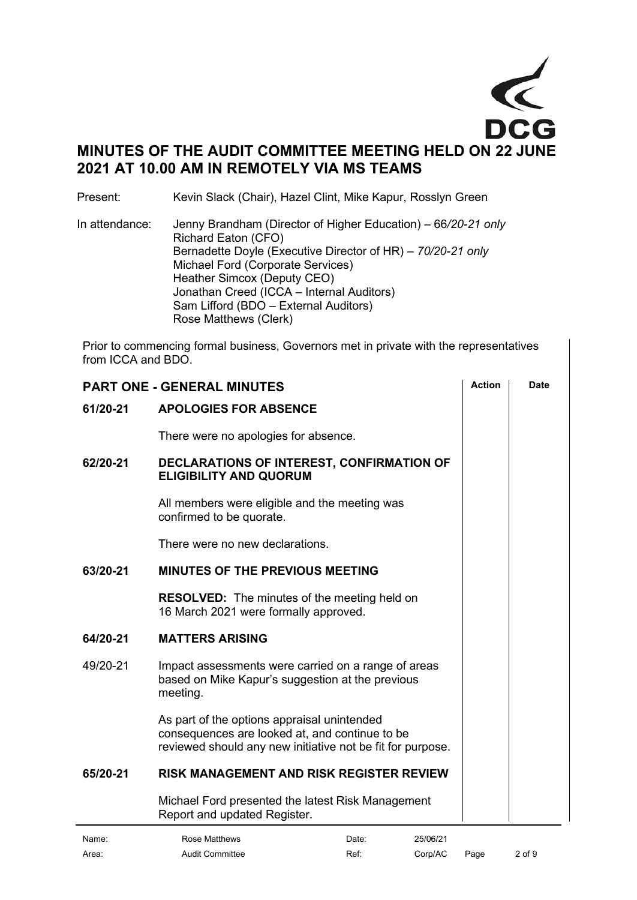

Present: Kevin Slack (Chair), Hazel Clint, Mike Kapur, Rosslyn Green

In attendance: Jenny Brandham (Director of Higher Education) – 66*/20-21 only* Richard Eaton (CFO) Bernadette Doyle (Executive Director of HR) *– 70/20-21 only* Michael Ford (Corporate Services) Heather Simcox (Deputy CEO) Jonathan Creed (ICCA – Internal Auditors) Sam Lifford (BDO – External Auditors) Rose Matthews (Clerk)

Prior to commencing formal business, Governors met in private with the representatives from ICCA and BDO.

<span id="page-1-4"></span><span id="page-1-3"></span><span id="page-1-2"></span><span id="page-1-1"></span><span id="page-1-0"></span>

| <b>Action</b><br><b>PART ONE - GENERAL MINUTES</b> |                                                                                                                                                             |  | <b>Date</b> |
|----------------------------------------------------|-------------------------------------------------------------------------------------------------------------------------------------------------------------|--|-------------|
| 61/20-21                                           | <b>APOLOGIES FOR ABSENCE</b>                                                                                                                                |  |             |
|                                                    | There were no apologies for absence.                                                                                                                        |  |             |
| 62/20-21                                           | DECLARATIONS OF INTEREST, CONFIRMATION OF<br><b>ELIGIBILITY AND QUORUM</b>                                                                                  |  |             |
|                                                    | All members were eligible and the meeting was<br>confirmed to be quorate.                                                                                   |  |             |
|                                                    | There were no new declarations.                                                                                                                             |  |             |
| 63/20-21                                           | <b>MINUTES OF THE PREVIOUS MEETING</b>                                                                                                                      |  |             |
|                                                    | <b>RESOLVED:</b> The minutes of the meeting held on<br>16 March 2021 were formally approved.                                                                |  |             |
| 64/20-21                                           | <b>MATTERS ARISING</b>                                                                                                                                      |  |             |
| 49/20-21                                           | Impact assessments were carried on a range of areas<br>based on Mike Kapur's suggestion at the previous<br>meeting.                                         |  |             |
|                                                    | As part of the options appraisal unintended<br>consequences are looked at, and continue to be<br>reviewed should any new initiative not be fit for purpose. |  |             |
| 65/20-21                                           | <b>RISK MANAGEMENT AND RISK REGISTER REVIEW</b>                                                                                                             |  |             |
|                                                    | Michael Ford presented the latest Risk Management<br>Report and updated Register.                                                                           |  |             |
|                                                    |                                                                                                                                                             |  |             |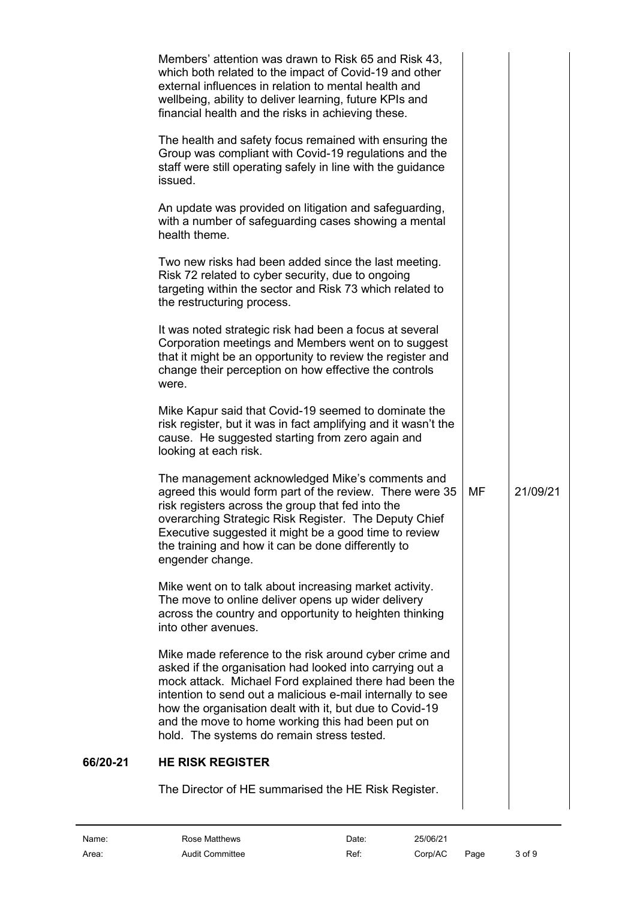| Members' attention was drawn to Risk 65 and Risk 43,<br>which both related to the impact of Covid-19 and other<br>external influences in relation to mental health and<br>wellbeing, ability to deliver learning, future KPIs and<br>financial health and the risks in achieving these.                                                                                                                  |    |          |
|----------------------------------------------------------------------------------------------------------------------------------------------------------------------------------------------------------------------------------------------------------------------------------------------------------------------------------------------------------------------------------------------------------|----|----------|
| The health and safety focus remained with ensuring the<br>Group was compliant with Covid-19 regulations and the<br>staff were still operating safely in line with the guidance<br>issued.                                                                                                                                                                                                                |    |          |
| An update was provided on litigation and safeguarding,<br>with a number of safeguarding cases showing a mental<br>health theme.                                                                                                                                                                                                                                                                          |    |          |
| Two new risks had been added since the last meeting.<br>Risk 72 related to cyber security, due to ongoing<br>targeting within the sector and Risk 73 which related to<br>the restructuring process.                                                                                                                                                                                                      |    |          |
| It was noted strategic risk had been a focus at several<br>Corporation meetings and Members went on to suggest<br>that it might be an opportunity to review the register and<br>change their perception on how effective the controls<br>were.                                                                                                                                                           |    |          |
| Mike Kapur said that Covid-19 seemed to dominate the<br>risk register, but it was in fact amplifying and it wasn't the<br>cause. He suggested starting from zero again and<br>looking at each risk.                                                                                                                                                                                                      |    |          |
| The management acknowledged Mike's comments and<br>agreed this would form part of the review. There were 35<br>risk registers across the group that fed into the<br>overarching Strategic Risk Register. The Deputy Chief<br>Executive suggested it might be a good time to review<br>the training and how it can be done differently to<br>engender change.                                             | MF | 21/09/21 |
| Mike went on to talk about increasing market activity.<br>The move to online deliver opens up wider delivery<br>across the country and opportunity to heighten thinking<br>into other avenues.                                                                                                                                                                                                           |    |          |
| Mike made reference to the risk around cyber crime and<br>asked if the organisation had looked into carrying out a<br>mock attack. Michael Ford explained there had been the<br>intention to send out a malicious e-mail internally to see<br>how the organisation dealt with it, but due to Covid-19<br>and the move to home working this had been put on<br>hold. The systems do remain stress tested. |    |          |
| <b>HE RISK REGISTER</b>                                                                                                                                                                                                                                                                                                                                                                                  |    |          |
| The Director of HE summarised the HE Risk Register.                                                                                                                                                                                                                                                                                                                                                      |    |          |

<span id="page-2-0"></span>

 $66/20-21$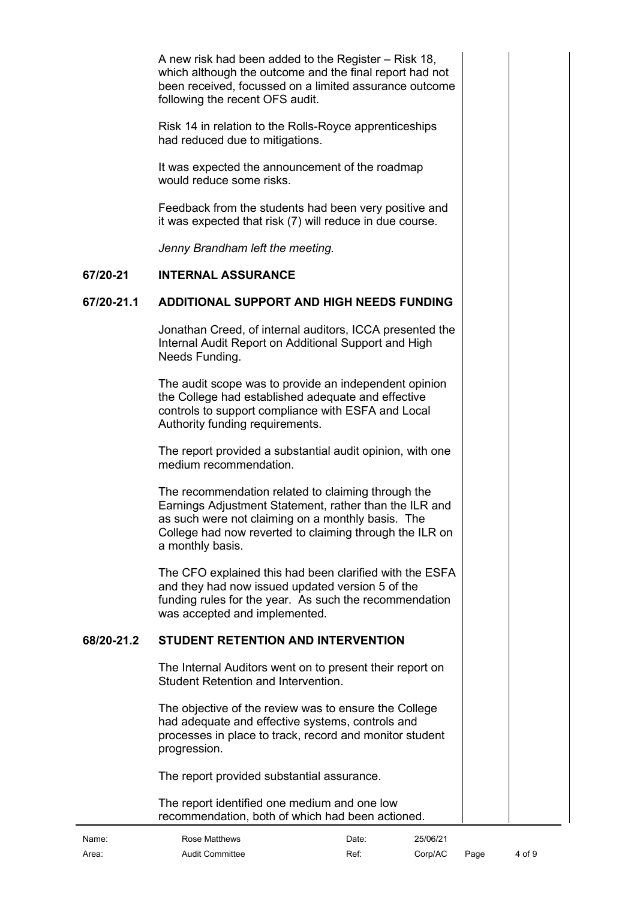A new risk had been added to the Register – Risk 18, which although the outcome and the final report had not been received, focussed on a limited assurance outcome following the recent OFS audit.

Risk 14 in relation to the Rolls-Royce apprenticeships had reduced due to mitigations.

It was expected the announcement of the roadmap would reduce some risks.

Feedback from the students had been very positive and it was expected that risk (7) will reduce in due course.

<span id="page-3-0"></span>*Jenny Brandham left the meeting.*

#### **67/20-21 INTERNAL ASSURANCE**

### **67/20-21.1 ADDITIONAL SUPPORT AND HIGH NEEDS FUNDING**

<span id="page-3-1"></span>Jonathan Creed, of internal auditors, ICCA presented the Internal Audit Report on Additional Support and High Needs Funding.

The audit scope was to provide an independent opinion the College had established adequate and effective controls to support compliance with ESFA and Local Authority funding requirements.

The report provided a substantial audit opinion, with one medium recommendation.

The recommendation related to claiming through the Earnings Adjustment Statement, rather than the ILR and as such were not claiming on a monthly basis. The College had now reverted to claiming through the ILR on a monthly basis.

The CFO explained this had been clarified with the ESFA and they had now issued updated version 5 of the funding rules for the year. As such the recommendation was accepted and implemented.

#### **68/20-21.2 STUDENT RETENTION AND INTERVENTION**

<span id="page-3-2"></span>The Internal Auditors went on to present their report on Student Retention and Intervention.

The objective of the review was to ensure the College had adequate and effective systems, controls and processes in place to track, record and monitor student progression.

The report provided substantial assurance.

The report identified one medium and one low recommendation, both of which had been actioned.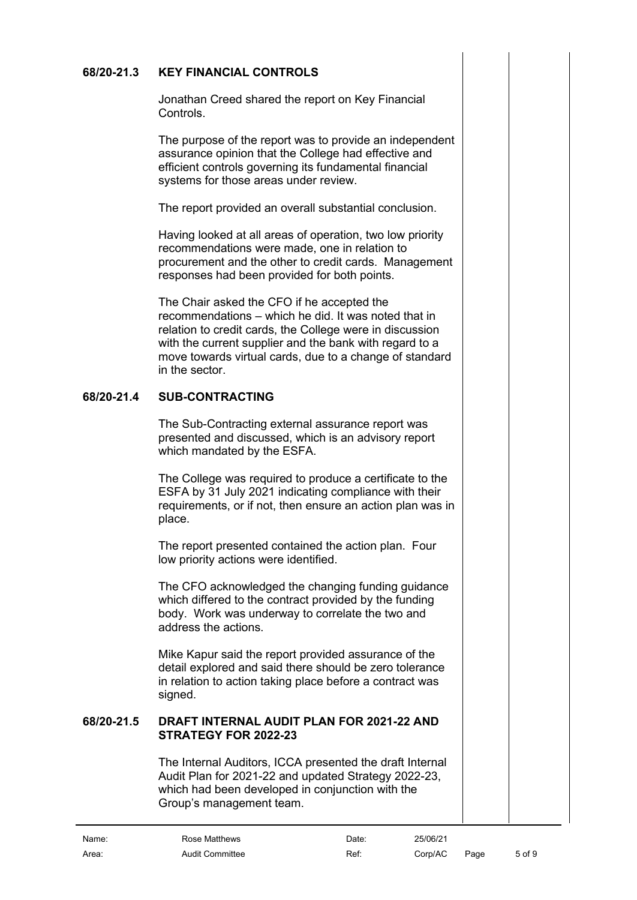# **68/20-21.3 KEY FINANCIAL CONTROLS**

<span id="page-4-0"></span>Jonathan Creed shared the report on Key Financial **Controls** 

The purpose of the report was to provide an independent assurance opinion that the College had effective and efficient controls governing its fundamental financial systems for those areas under review.

The report provided an overall substantial conclusion.

Having looked at all areas of operation, two low priority recommendations were made, one in relation to procurement and the other to credit cards. Management responses had been provided for both points.

The Chair asked the CFO if he accepted the recommendations – which he did. It was noted that in relation to credit cards, the College were in discussion with the current supplier and the bank with regard to a move towards virtual cards, due to a change of standard in the sector.

### **68/20-21.4 SUB-CONTRACTING**

<span id="page-4-1"></span>The Sub-Contracting external assurance report was presented and discussed, which is an advisory report which mandated by the ESFA.

The College was required to produce a certificate to the ESFA by 31 July 2021 indicating compliance with their requirements, or if not, then ensure an action plan was in place.

The report presented contained the action plan. Four low priority actions were identified.

The CFO acknowledged the changing funding guidance which differed to the contract provided by the funding body. Work was underway to correlate the two and address the actions.

Mike Kapur said the report provided assurance of the detail explored and said there should be zero tolerance in relation to action taking place before a contract was signed.

#### **68/20-21.5 DRAFT INTERNAL AUDIT PLAN FOR 2021-22 AND STRATEGY FOR 2022-23**

The Internal Auditors, ICCA presented the draft Internal Audit Plan for 2021-22 and updated Strategy 2022-23, which had been developed in conjunction with the Group's management team.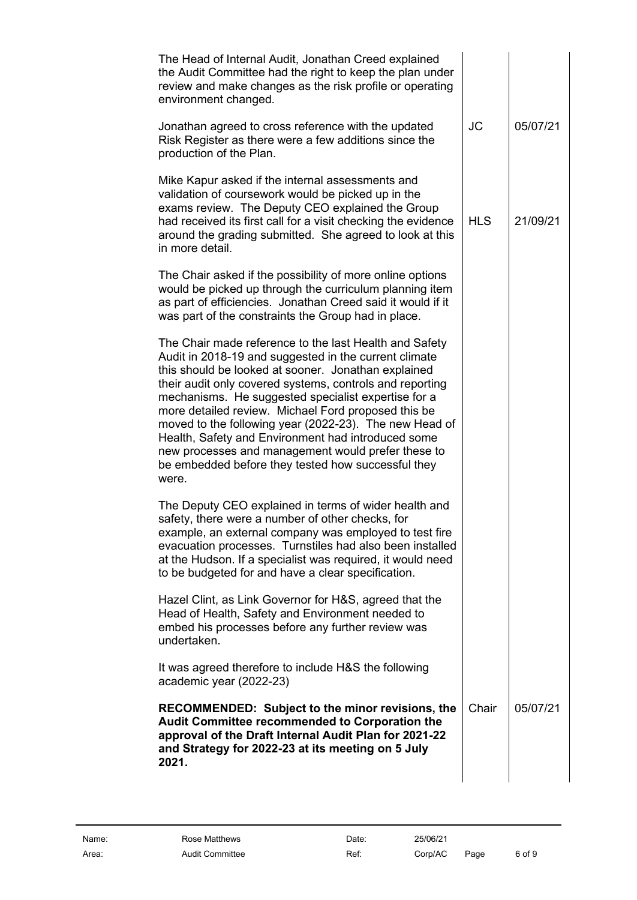| <b>JC</b>  | 05/07/21 |
|------------|----------|
| <b>HLS</b> | 21/09/21 |
|            |          |
|            |          |
|            |          |
|            |          |
|            |          |
| Chair      | 05/07/21 |
|            |          |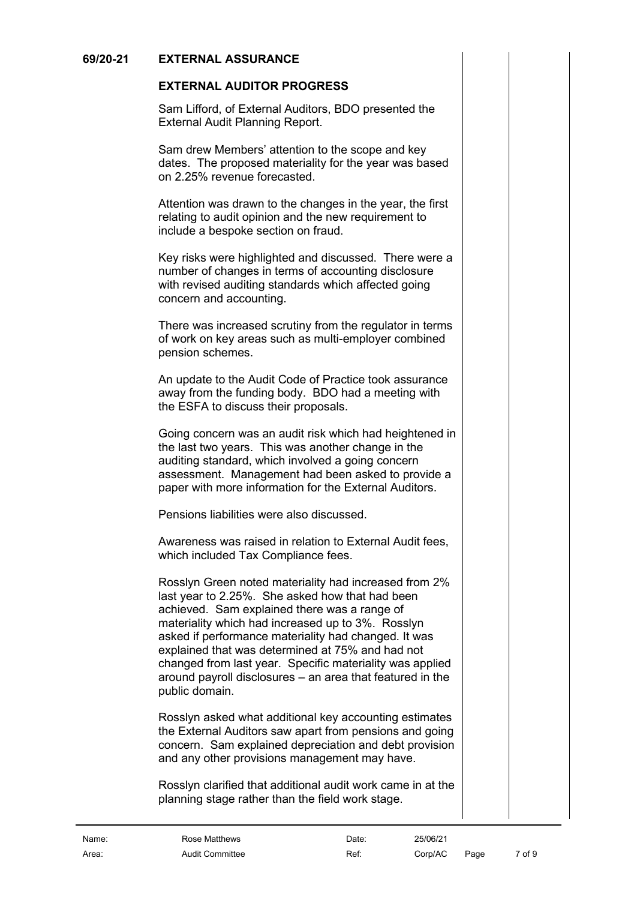### **69/20-21 EXTERNAL ASSURANCE**

# <span id="page-6-1"></span><span id="page-6-0"></span>**EXTERNAL AUDITOR PROGRESS**

Sam Lifford, of External Auditors, BDO presented the External Audit Planning Report.

Sam drew Members' attention to the scope and key dates. The proposed materiality for the year was based on 2.25% revenue forecasted.

Attention was drawn to the changes in the year, the first relating to audit opinion and the new requirement to include a bespoke section on fraud.

Key risks were highlighted and discussed. There were a number of changes in terms of accounting disclosure with revised auditing standards which affected going concern and accounting.

There was increased scrutiny from the regulator in terms of work on key areas such as multi-employer combined pension schemes.

An update to the Audit Code of Practice took assurance away from the funding body. BDO had a meeting with the ESFA to discuss their proposals.

Going concern was an audit risk which had heightened in the last two years. This was another change in the auditing standard, which involved a going concern assessment. Management had been asked to provide a paper with more information for the External Auditors.

Pensions liabilities were also discussed.

Awareness was raised in relation to External Audit fees, which included Tax Compliance fees.

Rosslyn Green noted materiality had increased from 2% last year to 2.25%. She asked how that had been achieved. Sam explained there was a range of materiality which had increased up to 3%. Rosslyn asked if performance materiality had changed. It was explained that was determined at 75% and had not changed from last year. Specific materiality was applied around payroll disclosures – an area that featured in the public domain.

Rosslyn asked what additional key accounting estimates the External Auditors saw apart from pensions and going concern. Sam explained depreciation and debt provision and any other provisions management may have.

Rosslyn clarified that additional audit work came in at the planning stage rather than the field work stage.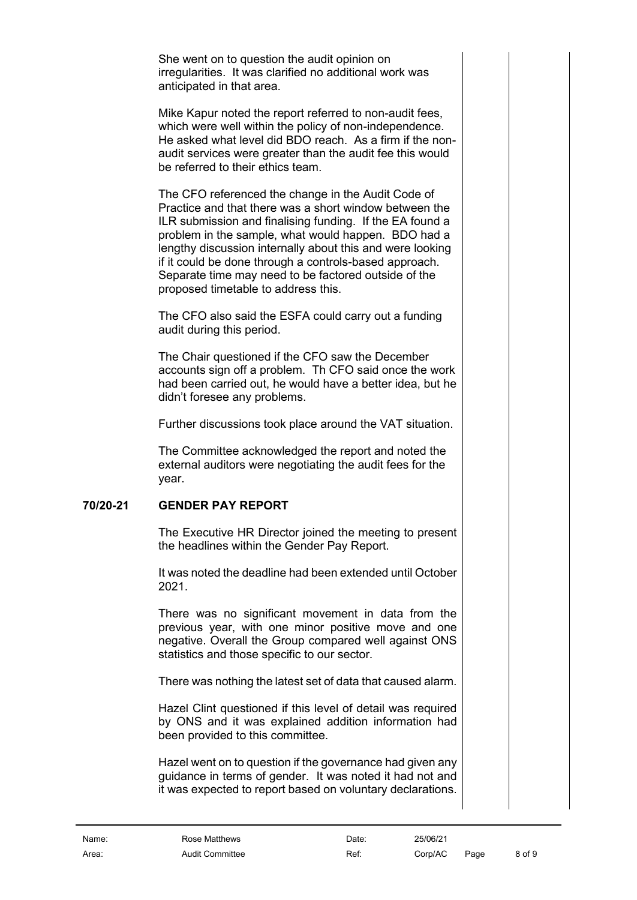She went on to question the audit opinion on irregularities. It was clarified no additional work was anticipated in that area.

Mike Kapur noted the report referred to non-audit fees, which were well within the policy of non-independence. He asked what level did BDO reach. As a firm if the nonaudit services were greater than the audit fee this would be referred to their ethics team.

The CFO referenced the change in the Audit Code of Practice and that there was a short window between the ILR submission and finalising funding. If the EA found a problem in the sample, what would happen. BDO had a lengthy discussion internally about this and were looking if it could be done through a controls-based approach. Separate time may need to be factored outside of the proposed timetable to address this.

The CFO also said the ESFA could carry out a funding audit during this period.

The Chair questioned if the CFO saw the December accounts sign off a problem. Th CFO said once the work had been carried out, he would have a better idea, but he didn't foresee any problems.

Further discussions took place around the VAT situation.

The Committee acknowledged the report and noted the external auditors were negotiating the audit fees for the year.

# **70/20-21 GENDER PAY REPORT**

<span id="page-7-0"></span>The Executive HR Director joined the meeting to present the headlines within the Gender Pay Report.

It was noted the deadline had been extended until October 2021.

There was no significant movement in data from the previous year, with one minor positive move and one negative. Overall the Group compared well against ONS statistics and those specific to our sector.

There was nothing the latest set of data that caused alarm.

Hazel Clint questioned if this level of detail was required by ONS and it was explained addition information had been provided to this committee.

Hazel went on to question if the governance had given any guidance in terms of gender. It was noted it had not and it was expected to report based on voluntary declarations.